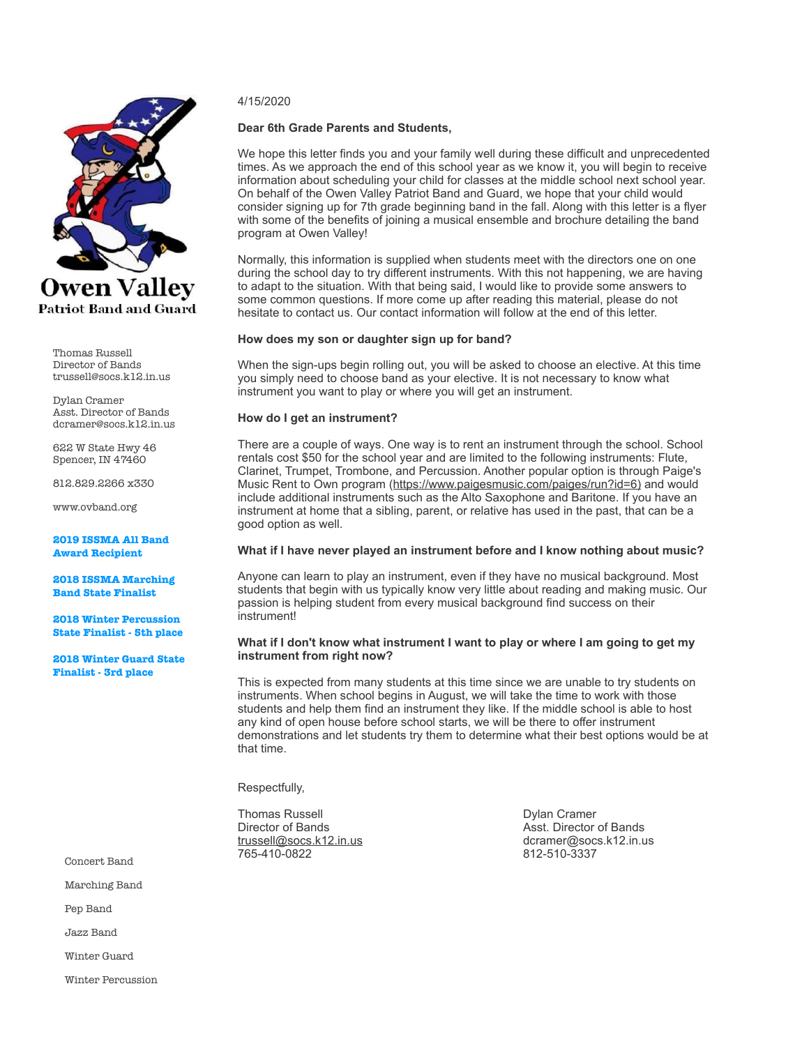

Thomas Russell Director of Bands trussell@socs.k12.in.us

Dylan Cramer Asst. Director of Bands dcramer@socs.k12.in.us

622 W State Hwy 46 Spencer, IN 47460

812.829.2266 x330

www.ovband.org

**2019 ISSMA All Band Award Recipient** 

**2018 ISSMA Marching Band State Finalist** 

**2018 Winter Percussion State Finalist - 5th place** 

**2018 Winter Guard State Finalist - 3rd place** 

Marching Band

Pep Band

Jazz Band

Winter Guard

Winter Percussion

#### 4/15/2020

#### **Dear 6th Grade Parents and Students,**

We hope this letter finds you and your family well during these difficult and unprecedented times. As we approach the end of this school year as we know it, you will begin to receive information about scheduling your child for classes at the middle school next school year. On behalf of the Owen Valley Patriot Band and Guard, we hope that your child would consider signing up for 7th grade beginning band in the fall. Along with this letter is a flyer with some of the benefits of joining a musical ensemble and brochure detailing the band program at Owen Valley!

Normally, this information is supplied when students meet with the directors one on one during the school day to try different instruments. With this not happening, we are having to adapt to the situation. With that being said, I would like to provide some answers to some common questions. If more come up after reading this material, please do not hesitate to contact us. Our contact information will follow at the end of this letter.

#### **How does my son or daughter sign up for band?**

When the sign-ups begin rolling out, you will be asked to choose an elective. At this time you simply need to choose band as your elective. It is not necessary to know what instrument you want to play or where you will get an instrument.

#### **How do I get an instrument?**

There are a couple of ways. One way is to rent an instrument through the school. School rentals cost \$50 for the school year and are limited to the following instruments: Flute, Clarinet, Trumpet, Trombone, and Percussion. Another popular option is through Paige's Music Rent to Own program ([https://www.paigesmusic.com/paiges/run?id=6\)](https://www.paigesmusic.com/paiges/run?id=6)) and would include additional instruments such as the Alto Saxophone and Baritone. If you have an instrument at home that a sibling, parent, or relative has used in the past, that can be a good option as well.

#### **What if I have never played an instrument before and I know nothing about music?**

Anyone can learn to play an instrument, even if they have no musical background. Most students that begin with us typically know very little about reading and making music. Our passion is helping student from every musical background find success on their instrument!

#### **What if I don't know what instrument I want to play or where I am going to get my instrument from right now?**

This is expected from many students at this time since we are unable to try students on instruments. When school begins in August, we will take the time to work with those students and help them find an instrument they like. If the middle school is able to host any kind of open house before school starts, we will be there to offer instrument demonstrations and let students try them to determine what their best options would be at that time.

Respectfully,

Thomas Russell **Dylan Cramer**<br>Director of Bands **Director** Asst. Director 765-410-0822 812-510-3337 Concert Band

Director of Bands<br>
trussell@socs.k12.in.us<br>
dcramer@socs.k12.in.us<br>
dcramer@socs.k12.in.u dcramer@socs.k12.in.us<br>812-510-3337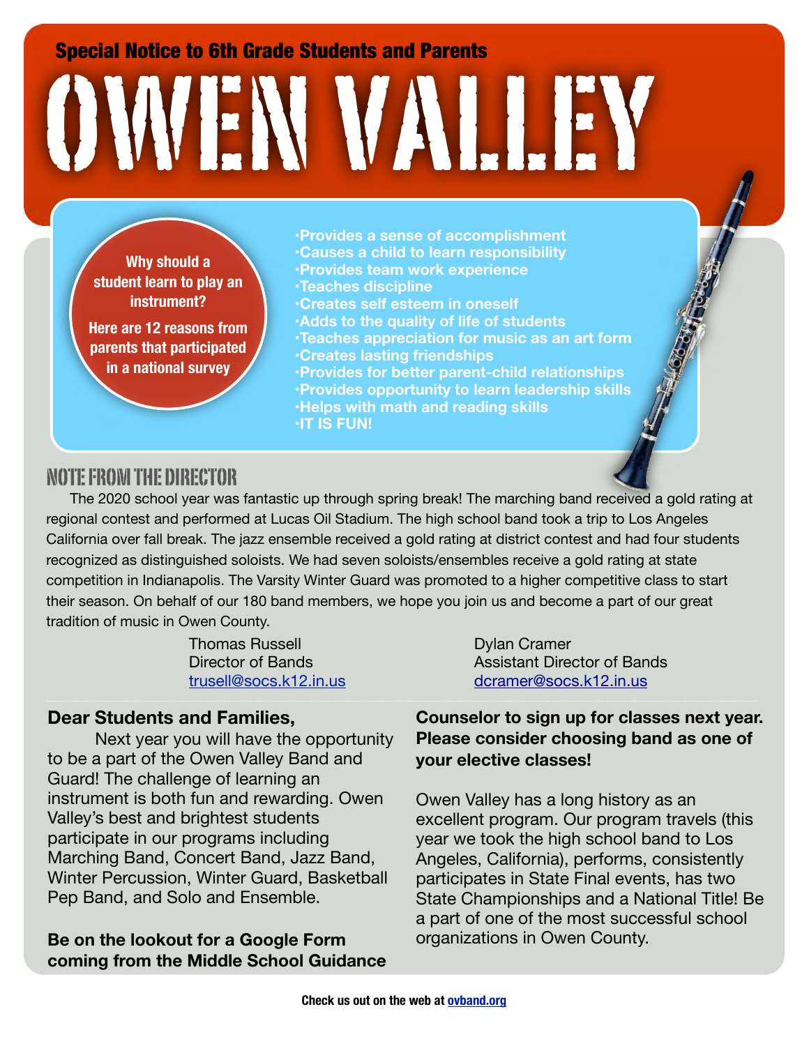Special Notice to 6th Grade Students and Parents

# OWEN VALLEY

**Why should a student learn to play an instrument?** 

**Here are 12 reasons from parents that participated in a national survey**

- **•Provides a sense of accomplishment •Causes a child to learn responsibility**
- **•Provides team work experience**
- **•Teaches discipline**
- **•Creates self esteem in oneself**
- **•Adds to the quality of life of students**
- **•Teaches appreciation for music as an art form**
- **•Creates lasting friendships**

**•Provides for better parent-child relationships •Provides opportunity to learn leadership skills •Helps with math and reading skills •IT IS FUN!**

# NOTE FROM THE DIRECTOR

The 2020 school year was fantastic up through spring break! The marching band received a gold rating at regional contest and performed at Lucas Oil Stadium. The high school band took a trip to Los Angeles California over fall break. The jazz ensemble received a gold rating at district contest and had four students recognized as distinguished soloists. We had seven soloists/ensembles receive a gold rating at state competition in Indianapolis. The Varsity Winter Guard was promoted to a higher competitive class to start their season. On behalf of our 180 band members, we hope you join us and become a part of our great tradition of music in Owen County.

Thomas Russell **Dylan Cramer** 

# **Dear Students and Families,**

Next year you will have the opportunity to be a part of the Owen Valley Band and Guard! The challenge of learning an instrument is both fun and rewarding. Owen Valley's best and brightest students participate in our programs including Marching Band, Concert Band, Jazz Band, Winter Percussion, Winter Guard, Basketball Pep Band, and Solo and Ensemble.

# **Be on the lookout for a Google Form coming from the Middle School Guidance**

Director of Bands<br> **Contains Assistant Director of Bands** [trusell@socs.k12.in.us](mailto:dthompson@socs.k12.in.us) [dcramer@socs.k12.in.us](mailto:trussell@socs.k12.in.us)

> **Counselor to sign up for classes next year. Please consider choosing band as one of your elective classes!**

> Owen Valley has a long history as an excellent program. Our program travels (this year we took the high school band to Los Angeles, California), performs, consistently participates in State Final events, has two State Championships and a National Title! Be a part of one of the most successful school organizations in Owen County.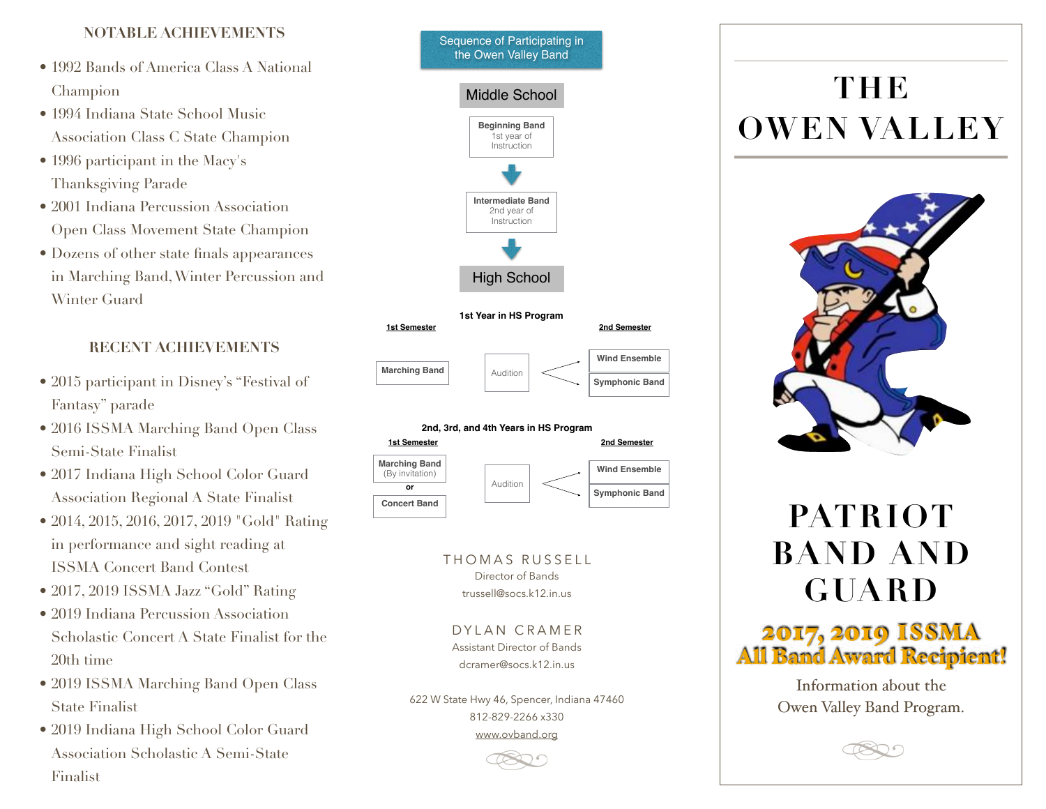## **NOTABLE ACHIEVEMENTS**

- 1992 Bands of America Class A National Champion
- 1994 Indiana State School Music Association Class C State Champion
- 1996 participant in the Macy's Thanksgiving Parade
- 2001 Indiana Percussion Association Open Class Movement State Champion
- Dozens of other state finals appearances in Marching Band, Winter Percussion and Winter Guard

# **RECENT ACHIEVEMENTS**

- 2015 participant in Disney's "Festival of Fantasy" parade
- 2016 ISSMA Marching Band Open Class Semi-State Finalist
- 2017 Indiana High School Color Guard Association Regional A State Finalist
- 2014, 2015, 2016, 2017, 2019 "Gold" Rating in performance and sight reading at ISSMA Concert Band Contest
- 2017, 2019 ISSMA Jazz "Gold" Rating
- 2019 Indiana Percussion Association Scholastic Concert A State Finalist for the 20th time
- 2019 ISSMA Marching Band Open Class State Finalist
- 2019 Indiana High School Color Guard Association Scholastic A Semi-State Finalist





THOMAS RUSSELL Director of Bands trussell@socs.k12.in.us

DYLAN CRAMER Assistant Director of Bands dcramer@socs.k12.in.us

622 W State Hwy 46, Spencer, Indiana 47460 812-829-2266 x330 [www.ovband.org](http://www.ovband.org)

# **THE OWEN VALLEY**



# **PATRIOT BAND AND GUARD**



Information about the Owen Valley Band Program.